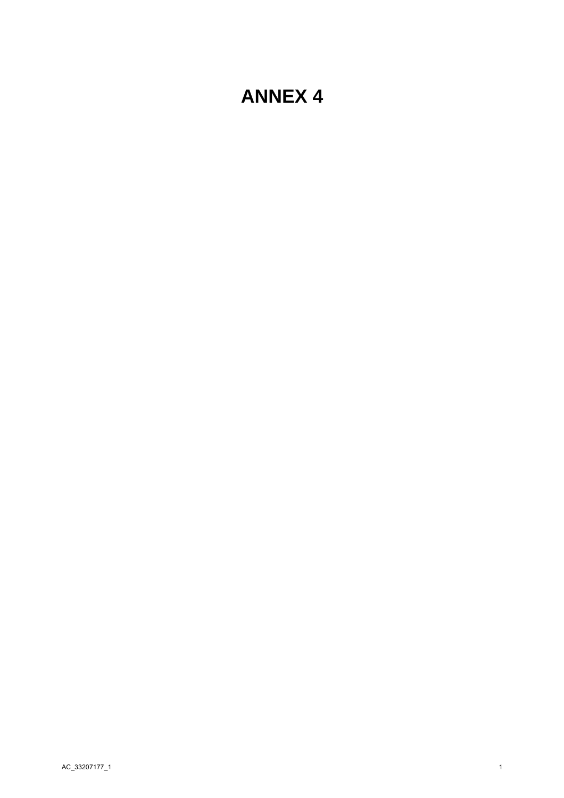# **ANNEX 4**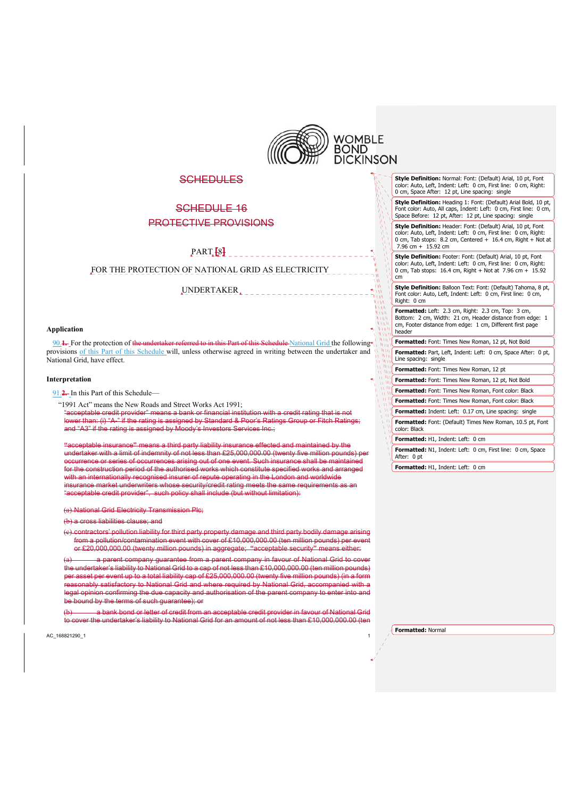

w

# **SCHEDULES**

# SCHEDULE 16 PROTECTIVE PROVISIONS

PART **[**8**]** 

FOR THE PROTECTION OF NATIONAL GRID AS ELECTRICITY

UNDERTAKER

#### **Application**

90.1. For the protection of the undertaker referred to in this Part of this Schedule National Grid the following<sup>+1</sup> provisions of this Part of this Schedule will, unless otherwise agreed in writing between the undertaker and National Grid, have effect.

#### **Interpretation**

91.**2.** In this Part of this Schedule—

"1991 Act" means the New Roads and Street Works Act 1991;

"acceptable credit provider" means a bank or financial institution with a credit rating that is not lower than: (i) "A-" if the rating is assigned by Standard & Poor's Ratings Group or Fitch Ratings; and "A3" if the rating is assigned by Moody's Investors Services Inc.;

**"**acceptable insurance**"** means a third party liability insurance effected and maintained by the undertaker with a limit of indemnity of not less than £25,000,000.00 (twenty five million pounds) occurrence or series of occurrences arising out of one event. Such insurance shall be maintained for the construction period of the authorised works which constitute specified works and arranged with an internationally recognised insurer of repute operating in the London and worldwide insurance market underwriters whose security/credit rating meets the same requirements as an "acceptable credit provider", such policy shall include (but without limitation):

(a) National Grid Electricity Transmission Plc;

(b) a cross liabilities clause; and

contractors' pollution liability for third party property damage and third party bodily damage from a pollution/contamination event with cover of £10,000,000.00 (ten million pounds) per event or £20,000,000.00 (twenty million pounds) in aggregate; **"**acceptable security**"** means either:

a parent company guarantee from a parent company in favour of National Grid to cover the undertaker's liability to National Grid to a cap of not less than £10,000,000.00 (ten million pounds) per asset per event up to a total liability cap of £25,000,000.00 (twenty five million pounds) (in a form asonably satisfactory to National Grid and where required by National Grid, accompanied with a legal opinion confirming the due capacity and authorisation of the parent company to enter into and e bound by the terms of such guarantee); or

a bank bond or letter of credit from an acceptable credit provider in favour of National Grid to cover the undertaker's liability to National Grid for an amount of not less than £10,000,000.00 (ten

AC\_168821290\_1 1

**Style Definition:** Normal: Font: (Default) Arial, 10 pt, Font color: Auto, Left, Indent: Left: 0 cm, First line: 0 cm, Right: 0 cm, Space After: 12 pt, Line spacing: single

**Style Definition:** Heading 1: Font: (Default) Arial Bold, 10 pt, Font color: Auto, All caps, Indent: Left: 0 cm, First line: 0 cm, Space Before: 12 pt, After: 12 pt, Line spacing: single

**Style Definition:** Footer: Font: (Default) Arial, 10 pt, Font **Style Definition:** Header: Font: (Default) Arial, 10 pt, Font color: Auto, Left, Indent: Left: 0 cm, First line: 0 cm, Right: 0 cm, Tab stops: 8.2 cm, Centered + 16.4 cm, Right + Not at 7.96 cm + 15.92 cm

color: Auto, Left, Indent: Left: 0 cm, First line: 0 cm, Right: 0 cm, Tab stops: 16.4 cm, Right + Not at 7.96 cm + 15.92 cm

**Style Definition:** Balloon Text: Font: (Default) Tahoma, 8 pt, Font color: Auto, Left, Indent: Left: 0 cm, First line: 0 cm, Right: 0 cm

**Formatted:** Left: 2.3 cm, Right: 2.3 cm, Top: 3 cm, Bottom: 2 cm, Width: 21 cm, Header distance from edge: 1 cm, Footer distance from edge: 1 cm, Different first page header

**Formatted:** Font: Times New Roman, 12 pt, Not Bold **Formatted:** Part, Left, Indent: Left: 0 cm, Space After: 0 pt, Line spacing: single

**Formatted:** Font: Times New Roman, 12 pt

**Formatted:** Font: Times New Roman, 12 pt, Not Bold

**Formatted:** Font: Times New Roman, Font color: Black

**Formatted:** Font: Times New Roman, Font color: Black

**Formatted:** Indent: Left: 0.17 cm, Line spacing: single

**Formatted:** Font: (Default) Times New Roman, 10.5 pt, Font

color: Black

**Formatted:** H1, Indent: Left: 0 cm

**Formatted:** N1, Indent: Left: 0 cm, First line: 0 cm, Space After: 0 pt

**Formatted:** H1, Indent: Left: 0 cm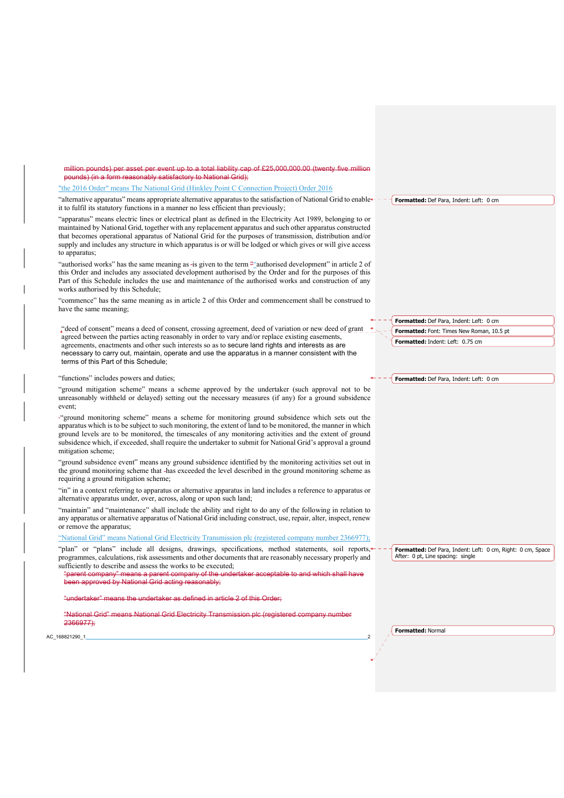million pounds) per asset per event up to a total liability cap of £25,000,000.00 (twenty five mill pounds) (in a form reasonably satisfactory to National Grid);

#### "the 2016 Order" means The National Grid (Hinkley Point C Connection Project) Order 2016

"alternative apparatus" means appropriate alternative apparatus to the satisfaction of National Grid to enable + it to fulfil its statutory functions in a manner no less efficient than previously; **Formatted:** Def Para, Indent: Left: 0 cm

"apparatus" means electric lines or electrical plant as defined in the Electricity Act 1989, belonging to or maintained by National Grid, together with any replacement apparatus and such other apparatus constructed that becomes operational apparatus of National Grid for the purposes of transmission, distribution and/or supply and includes any structure in which apparatus is or will be lodged or which gives or will give access to apparatus;

"authorised works" has the same meaning as -is given to the term ""authorised development" in article 2 of this Order and includes any associated development authorised by the Order and for the purposes of this Part of this Schedule includes the use and maintenance of the authorised works and construction of any works authorised by this Schedule;

"commence" has the same meaning as in article 2 of this Order and commencement shall be construed to have the same meaning;

"deed of consent" means a deed of consent, crossing agreement, deed of variation or new deed of grant agreed between the parties acting reasonably in order to vary and/or replace existing easements, agreements, enactments and other such interests so as to secure land rights and interests as are necessary to carry out, maintain, operate and use the apparatus in a manner consistent with the terms of this Part of this Schedule;

## "functions" includes powers and duties;

#### "ground mitigation scheme" means a scheme approved by the undertaker (such approval not to be unreasonably withheld or delayed) setting out the necessary measures (if any) for a ground subsidence event;

"ground monitoring scheme" means a scheme for monitoring ground subsidence which sets out the apparatus which is to be subject to such monitoring, the extent of land to be monitored, the manner in which ground levels are to be monitored, the timescales of any monitoring activities and the extent of ground subsidence which, if exceeded, shall require the undertaker to submit for National Grid's approval a ground mitigation scheme;

"ground subsidence event" means any ground subsidence identified by the monitoring activities set out in the ground monitoring scheme that has exceeded the level described in the ground monitoring scheme as requiring a ground mitigation scheme;

"in" in a context referring to apparatus or alternative apparatus in land includes a reference to apparatus or alternative apparatus under, over, across, along or upon such land;

"maintain" and "maintenance" shall include the ability and right to do any of the following in relation to any apparatus or alternative apparatus of National Grid including construct, use, repair, alter, inspect, renew or remove the apparatus;

### "National Grid" means National Grid Electricity Transmission plc (registered company number 2366977);

"plan" or "plans" include all designs, drawings, specifications, method statements, soil reports, programmes, calculations, risk assessments and other documents that are reasonably necessary properly and sufficiently to describe and assess the works to be executed;

rent company" means a parent company of the undertaker acceptable to and which shall **have** been approved by National Grid acting reasonably;

#### $l$ ertaker" means the undertaker as defined in article 2 of this Order;

"National Grid" means National Grid Electricity Transmission plo

#### 2366977);

AC\_168821290\_1

**Formatted:** Font: Times New Roman, 10.5 pt **Formatted:** Indent: Left: 0.75 cm

**Formatted:** Def Para, Indent: Left: 0 cm

**Formatted:** Def Para, Indent: Left: 0 cm

After: 0 pt, Line spacing: single

**Formatted:** Def Para, Indent: Left: 0 cm, Right: 0 cm, Space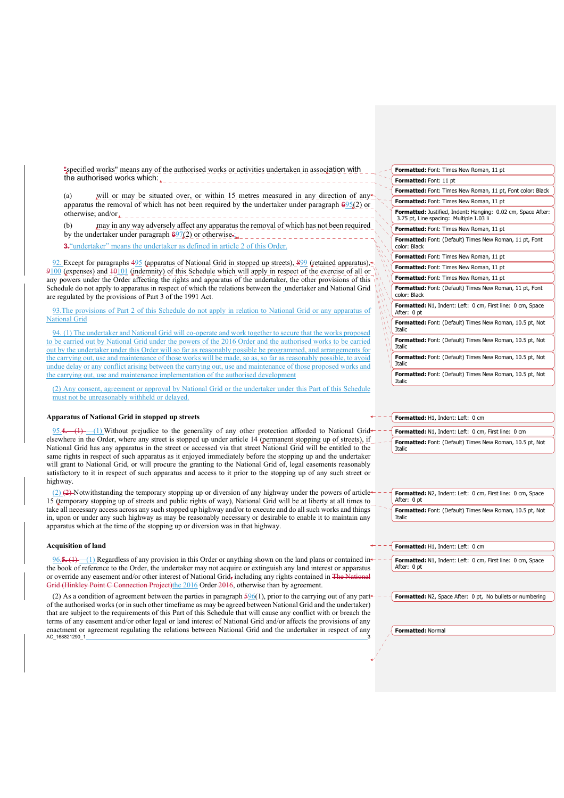"specified works" means any of the authorised works or activities undertaken in association with the authorised works which:

will or may be situated over, or within 15 metres measured in any direction of any apparatus the removal of which has not been required by the undertaker under paragraph  $69\frac{5}{2}$  or otherwise; and/or

may in any way adversely affect any apparatus the removal of which has not been required by the undertaker under paragraph  $\frac{697(2)}{2}$  or otherwise.

**3.**"undertaker" means the undertaker as defined in article 2 of this Order.

92. Except for paragraphs 495 (apparatus of National Grid in stopped up streets), 899 (retained apparatus), 9100 (expenses) and 10101 (indemnity) of this Schedule which will apply in respect of the exercise of all or any powers under the Order affecting the rights and apparatus of the undertaker, the other provisions of this Schedule do not apply to apparatus in respect of which the relations between the undertaker and National Grid are regulated by the provisions of Part 3 of the 1991 Act.

93.The provisions of Part 2 of this Schedule do not apply in relation to National Grid or any apparatus of National Grid

94. (1) The undertaker and National Grid will co-operate and work together to secure that the works proposed to be carried out by National Grid under the powers of the 2016 Order and the authorised works to be carried out by the undertaker under this Order will so far as reasonably possible be programmed, and arrangements for the carrying out, use and maintenance of those works will be made, so as, so far as reasonably possible, to avoid undue delay or any conflict arising between the carrying out, use and maintenance of those proposed works and the carrying out, use and maintenance implementation of the authorised development

(2) Any consent, agreement or approval by National Grid or the undertaker under this Part of this Schedule must not be unreasonably withheld or delayed.

#### **Apparatus of National Grid in stopped up streets**

95.**4.**—(1) —(1) Without prejudice to the generality of any other protection afforded to National Grid elsewhere in the Order, where any street is stopped up under article 14 (permanent stopping up of streets), if National Grid has any apparatus in the street or accessed via that street National Grid will be entitled to the same rights in respect of such apparatus as it enjoyed immediately before the stopping up and the undertaker will grant to National Grid, or will procure the granting to the National Grid of, legal easements reasonably satisfactory to it in respect of such apparatus and access to it prior to the stopping up of any such street or highway.

 $(2)$  (2) (2) Notwithstanding the temporary stopping up or diversion of any highway under the powers of articles 15 (temporary stopping up of streets and public rights of way), National Grid will be at liberty at all times to take all necessary access across any such stopped up highway and/or to execute and do all such works and things in, upon or under any such highway as may be reasonably necessary or desirable to enable it to maintain any apparatus which at the time of the stopping up or diversion was in that highway.

#### **Acquisition of land**

96.**5.** (1) —(1) Regardless of any provision in this Order or anything shown on the land plans or contained in the book of reference to the Order, the undertaker may not acquire or extinguish any land interest or apparatus or override any easement and/or other interest of National Grid, including any rights contained in The Grid (Hinkley Point C Connection Project)the 2016 Order 2016, otherwise than by agreement.

AC\_168821290\_1 (2) As a condition of agreement between the parties in paragraph  $596(1)$ , prior to the carrying out of any part of the authorised works (or in such other timeframe as may be agreed between National Grid and the undertaker) that are subject to the requirements of this Part of this Schedule that will cause any conflict with or breach the terms of any easement and/or other legal or land interest of National Grid and/or affects the provisions of any enactment or agreement regulating the relations between National Grid and the undertaker in respect of any

| <b>Formatted:</b> Font: Times New Roman, 11 pt                                                                 |
|----------------------------------------------------------------------------------------------------------------|
| Formatted: Font: 11 pt                                                                                         |
| <b>Formatted:</b> Font: Times New Roman, 11 pt, Font color: Black                                              |
| Formatted: Font: Times New Roman, 11 pt                                                                        |
| <b>Formatted:</b> Justified, Indent: Hanging: 0.02 cm, Space After:<br>3.75 pt, Line spacing: Multiple 1.03 li |
| Formatted: Font: Times New Roman, 11 pt                                                                        |
| Formatted: Font: (Default) Times New Roman, 11 pt, Font<br>color: Black                                        |
| Formatted: Font: Times New Roman, 11 pt                                                                        |
| Formatted: Font: Times New Roman, 11 pt                                                                        |
| Formatted: Font: Times New Roman, 11 pt                                                                        |
| <b>Formatted:</b> Font: (Default) Times New Roman, 11 pt, Font<br>color: Black                                 |
| Formatted: N1, Indent: Left: 0 cm, First line: 0 cm, Space<br>After: 0 pt                                      |
| <b>Formatted:</b> Font: (Default) Times New Roman, 10.5 pt, Not<br><b>Italic</b>                               |
| <b>Formatted:</b> Font: (Default) Times New Roman, 10.5 pt, Not<br><b>Italic</b>                               |
| <b>Formatted:</b> Font: (Default) Times New Roman, 10.5 pt, Not<br><b>Italic</b>                               |
| <b>Formatted:</b> Font: (Default) Times New Roman, 10.5 pt, Not<br><b>Italic</b>                               |

**Formatted:** H1, Indent: Left: 0 cm

**Formatted:** N1, Indent: Left: 0 cm, First line: 0 cm **Formatted:** Font: (Default) Times New Roman, 10.5 pt, Not Italic

**Formatted:** N2, Indent: Left: 0 cm, First line: 0 cm, Space After: 0 pt **Formatted:** Font: (Default) Times New Roman, 10.5 pt, Not Italic

**Formatted:** H1, Indent: Left: 0 cm

**Formatted:** N1, Indent: Left: 0 cm, First line: 0 cm, Space After: 0 pt

**Formatted:** N2, Space After: 0 pt, No bullets or numbering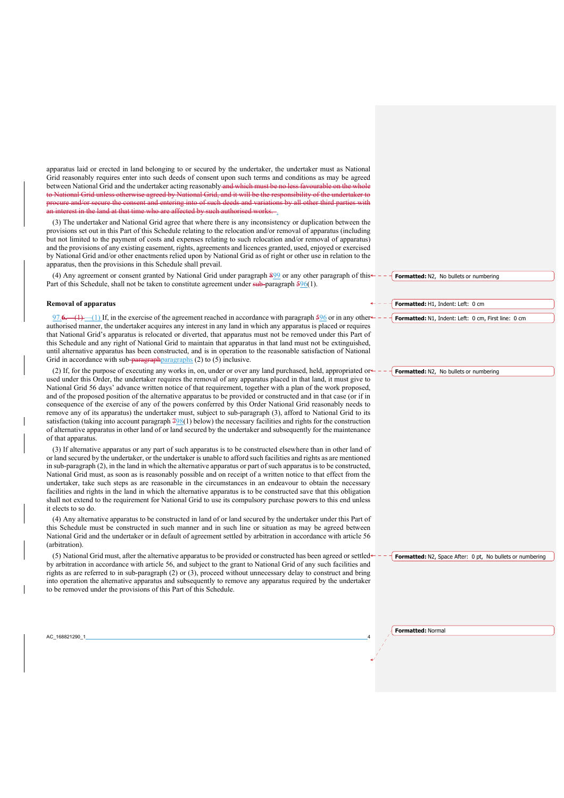apparatus laid or erected in land belonging to or secured by the undertaker, the undertaker must as National Grid reasonably requires enter into such deeds of consent upon such terms and conditions as may be agreed between National Grid and the undertaker acting reasonably and which must be no less favourable on the to National Grid unless otherwise agreed by National Grid, and it will be the responsibility of the undertaker to<br>procure and/or secure the consent and entering into of such deeds and variations by all other third parties eure and/or secure the consent and entering into of such deeds and variations by all other third parties an interest in the land at that time who are affected by such authorised works.

(3) The undertaker and National Grid agree that where there is any inconsistency or duplication between the provisions set out in this Part of this Schedule relating to the relocation and/or removal of apparatus (including but not limited to the payment of costs and expenses relating to such relocation and/or removal of apparatus) and the provisions of any existing easement, rights, agreements and licences granted, used, enjoyed or exercised by National Grid and/or other enactments relied upon by National Grid as of right or other use in relation to the apparatus, then the provisions in this Schedule shall prevail.

(4) Any agreement or consent granted by National Grid under paragraph 899 or any other paragraph of this $\leftarrow$  -Part of this Schedule, shall not be taken to constitute agreement under sub-paragraph 596(1).

#### **Removal of apparatus**

97.6.—(1)—(1) If, in the exercise of the agreement reached in accordance with paragraph 596 or in any other<sup>s</sup> authorised manner, the undertaker acquires any interest in any land in which any apparatus is placed or requires that National Grid's apparatus is relocated or diverted, that apparatus must not be removed under this Part of this Schedule and any right of National Grid to maintain that apparatus in that land must not be extinguished, until alternative apparatus has been constructed, and is in operation to the reasonable satisfaction of National Grid in accordance with sub-paragraphparagraphs (2) to (5) inclusive.

(2) If, for the purpose of executing any works in, on, under or over any land purchased, held, appropriated or used under this Order, the undertaker requires the removal of any apparatus placed in that land, it must give to National Grid 56 days' advance written notice of that requirement, together with a plan of the work proposed, and of the proposed position of the alternative apparatus to be provided or constructed and in that case (or if in consequence of the exercise of any of the powers conferred by this Order National Grid reasonably needs to remove any of its apparatus) the undertaker must, subject to sub-paragraph (3), afford to National Grid to its satisfaction (taking into account paragraph  $798(1)$  below) the necessary facilities and rights for the construction of alternative apparatus in other land of or land secured by the undertaker and subsequently for the maintenance of that apparatus.

(3) If alternative apparatus or any part of such apparatus is to be constructed elsewhere than in other land of or land secured by the undertaker, or the undertaker is unable to afford such facilities and rights as are mentioned in sub-paragraph (2), in the land in which the alternative apparatus or part of such apparatus is to be constructed, National Grid must, as soon as is reasonably possible and on receipt of a written notice to that effect from the undertaker, take such steps as are reasonable in the circumstances in an endeavour to obtain the necessary facilities and rights in the land in which the alternative apparatus is to be constructed save that this obligation shall not extend to the requirement for National Grid to use its compulsory purchase powers to this end unless it elects to so do.

(4) Any alternative apparatus to be constructed in land of or land secured by the undertaker under this Part of this Schedule must be constructed in such manner and in such line or situation as may be agreed between National Grid and the undertaker or in default of agreement settled by arbitration in accordance with article 56 (arbitration).

(5) National Grid must, after the alternative apparatus to be provided or constructed has been agreed or settled by arbitration in accordance with article 56, and subject to the grant to National Grid of any such facilities and rights as are referred to in sub-paragraph (2) or (3), proceed without unnecessary delay to construct and bring into operation the alternative apparatus and subsequently to remove any apparatus required by the undertaker to be removed under the provisions of this Part of this Schedule.

**Formatted:** N2, No bullets or numbering

**Formatted:** H1, Indent: Left: 0 cm

**Formatted:** N1, Indent: Left: 0 cm, First line: 0 cm

**Formatted:** N2, No bullets or numbering

**Formatted:** N2, Space After: 0 pt, No bullets or numbering

**Formatted:** Normal

AC\_168821290\_1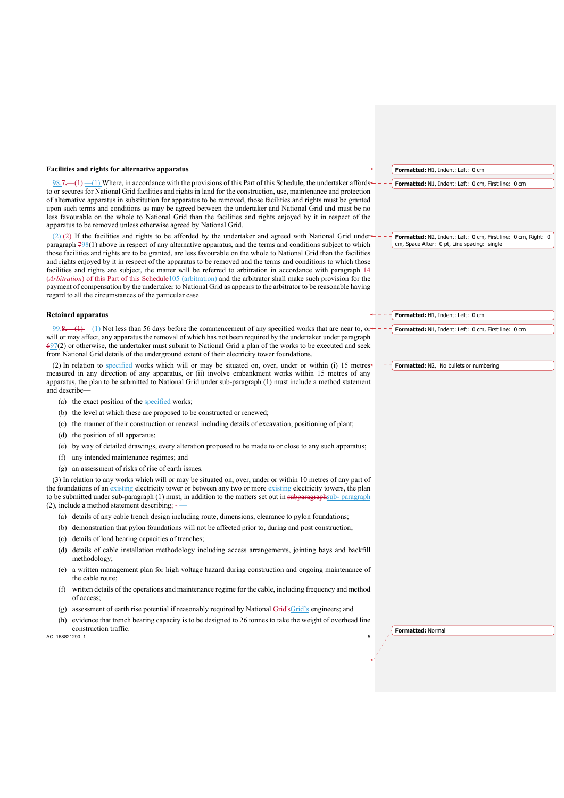#### **Facilities and rights for alternative apparatus**

98.<del>7. (1)</del> (1) Where, in accordance with the provisions of this Part of this Schedule, the undertaker affords to or secures for National Grid facilities and rights in land for the construction, use, maintenance and protection of alternative apparatus in substitution for apparatus to be removed, those facilities and rights must be granted upon such terms and conditions as may be agreed between the undertaker and National Grid and must be no less favourable on the whole to National Grid than the facilities and rights enjoyed by it in respect of the apparatus to be removed unless otherwise agreed by National Grid.

(2)  $(2)$  If the facilities and rights to be afforded by the undertaker and agreed with National Grid under paragraph  $798(1)$  above in respect of any alternative apparatus, and the terms and conditions subject to which those facilities and rights are to be granted, are less favourable on the whole to National Grid than the facilities and rights enjoyed by it in respect of the apparatus to be removed and the terms and conditions to which those facilities and rights are subject, the matter will be referred to arbitration in accordance with paragraph 14 (*Arbitration*) of this Part of this Schedule105 (arbitration) and the arbitrator shall make such provision for the payment of compensation by the undertaker to National Grid as appears to the arbitrator to be reasonable having regard to all the circumstances of the particular case.

#### **Retained apparatus**

99.**8.**—(1) —(1) Not less than 56 days before the commencement of any specified works that are near to, or will or may affect, any apparatus the removal of which has not been required by the undertaker under paragraph 697(2) or otherwise, the undertaker must submit to National Grid a plan of the works to be executed and seek from National Grid details of the underground extent of their electricity tower foundations.

(2) In relation to specified works which will or may be situated on, over, under or within (i) 15 metres measured in any direction of any apparatus, or (ii) involve embankment works within 15 metres of any apparatus, the plan to be submitted to National Grid under sub-paragraph (1) must include a method statement and describe—

- (a) the exact position of the specified works;
- (b) the level at which these are proposed to be constructed or renewed;
- (c) the manner of their construction or renewal including details of excavation, positioning of plant;
- (d) the position of all apparatus;
- (e) by way of detailed drawings, every alteration proposed to be made to or close to any such apparatus;
- (f) any intended maintenance regimes; and
- (g) an assessment of risks of rise of earth issues.

(3) In relation to any works which will or may be situated on, over, under or within 10 metres of any part of the foundations of an existing electricity tower or between any two or more existing electricity towers, the plan to be submitted under sub-paragraph (1) must, in addition to the matters set out in subparagraphsub- paragraph  $(2)$ , include a method statement describing;

- (a) details of any cable trench design including route, dimensions, clearance to pylon foundations;
- (b) demonstration that pylon foundations will not be affected prior to, during and post construction;
- (c) details of load bearing capacities of trenches;
- (d) details of cable installation methodology including access arrangements, jointing bays and backfill methodology;
- (e) a written management plan for high voltage hazard during construction and ongoing maintenance of the cable route;
- (f) written details of the operations and maintenance regime for the cable, including frequency and method of access;
- (g) assessment of earth rise potential if reasonably required by National  $\overline{Grid}$ 's engineers; and
- (h) evidence that trench bearing capacity is to be designed to 26 tonnes to take the weight of overhead line construction traffic.

AC\_168821290\_1

**Formatted:** N1, Indent: Left: 0 cm, First line: 0 cm

**Formatted:** H1, Indent: Left: 0 cm

**Formatted:** N2, Indent: Left: 0 cm, First line: 0 cm, Right: 0 cm, Space After: 0 pt, Line spacing: single

**Formatted:** H1, Indent: Left: 0 cm

**Formatted:** N1, Indent: Left: 0 cm, First line: 0 cm

**Formatted:** N2, No bullets or numbering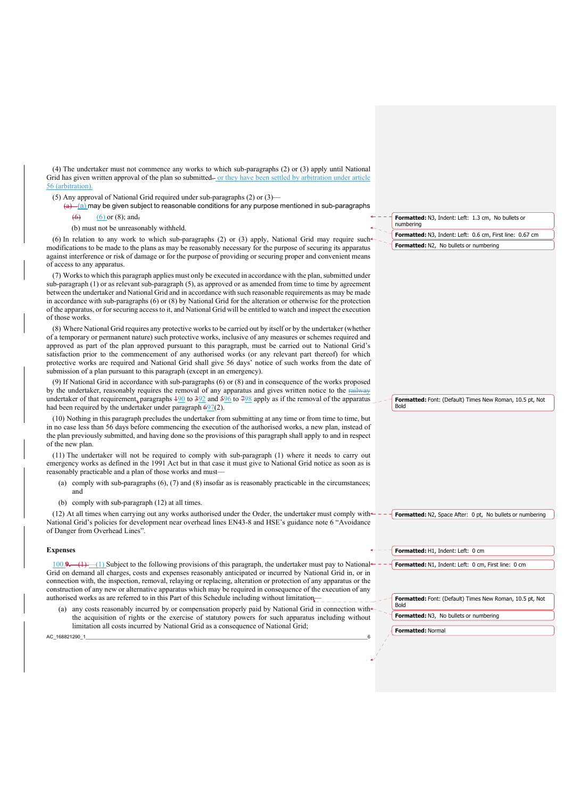(4) The undertaker must not commence any works to which sub-paragraphs (2) or (3) apply until National Grid has given written approval of the plan so submitted— or they have been settled by arbitration under article 56 (arbit

- (5) Any approval of National Grid required under sub-paragraphs (2) or (3)—
	- $\frac{1}{a}$  (a) may be given subject to reasonable conditions for any purpose mentioned in sub-paragraphs
		- $(6)$  or  $(8)$ ; and,
		- (b) must not be unreasonably withheld.

**Formatted:** N3, Indent: Left: 1.3 cm, No bullets or numbering **Formatted:** N3, Indent: Left: 0.6 cm, First line: 0.67 cm **Formatted:** N2, No bullets or numbering

modifications to be made to the plans as may be reasonably necessary for the purpose of securing its apparatus against interference or risk of damage or for the purpose of providing or securing proper and convenient means of access to any apparatus. (7) Works to which this paragraph applies must only be executed in accordance with the plan, submitted under

(6) In relation to any work to which sub-paragraphs (2) or (3) apply, National Grid may require such

sub-paragraph (1) or as relevant sub-paragraph (5), as approved or as amended from time to time by agreement between the undertaker and National Grid and in accordance with such reasonable requirements as may be made in accordance with sub-paragraphs (6) or (8) by National Grid for the alteration or otherwise for the protection of the apparatus, or for securing access to it, and National Grid will be entitled to watch and inspect the execution of those works.

(8) Where National Grid requires any protective works to be carried out by itself or by the undertaker (whether of a temporary or permanent nature) such protective works, inclusive of any measures or schemes required and approved as part of the plan approved pursuant to this paragraph, must be carried out to National Grid's satisfaction prior to the commencement of any authorised works (or any relevant part thereof) for which protective works are required and National Grid shall give 56 days' notice of such works from the date of submission of a plan pursuant to this paragraph (except in an emergency).

(9) If National Grid in accordance with sub-paragraphs (6) or (8) and in consequence of the works proposed by the undertaker, reasonably requires the removal of any apparatus and gives written notice to the railway undertaker of that requirement, paragraphs  $\frac{190}{10}$  to  $\frac{392}{10}$  and  $\frac{596}{10}$  to  $\frac{798}{10}$  apply as if the removal of the apparatus had been required by the undertaker under paragraph  $697(2)$ .

(10) Nothing in this paragraph precludes the undertaker from submitting at any time or from time to time, but in no case less than 56 days before commencing the execution of the authorised works, a new plan, instead of the plan previously submitted, and having done so the provisions of this paragraph shall apply to and in respect of the new plan.

(11) The undertaker will not be required to comply with sub-paragraph (1) where it needs to carry out emergency works as defined in the 1991 Act but in that case it must give to National Grid notice as soon as is reasonably practicable and a plan of those works and must—

- (a) comply with sub-paragraphs  $(6)$ ,  $(7)$  and  $(8)$  insofar as is reasonably practicable in the circumstances; and
- (b) comply with sub-paragraph (12) at all times.

 $(12)$  At all times when carrying out any works authorised under the Order, the undertaker must comply with  $\pm$ National Grid's policies for development near overhead lines EN43-8 and HSE's guidance note 6 "Avoidance of Danger from Overhead Lines".

#### **Expenses**

100.**9.**—(1) —(1) Subject to the following provisions of this paragraph, the undertaker must pay to National Grid on demand all charges, costs and expenses reasonably anticipated or incurred by National Grid in, or in connection with, the inspection, removal, relaying or replacing, alteration or protection of any apparatus or the construction of any new or alternative apparatus which may be required in consequence of the execution of any authorised works as are referred to in this Part of this Schedule including without limitation—

any costs reasonably incurred by or compensation properly paid by National Grid in connection with the acquisition of rights or the exercise of statutory powers for such apparatus including without limitation all costs incurred by National Grid as a consequence of National Grid;

**Formatted:** Font: (Default) Times New Roman, 10.5 pt, Not Bold

**Formatted:** N1, Indent: Left: 0 cm, First line: 0 cm

**Formatted:** N2, Space After: 0 pt. No bullets or numbering

**Formatted:** Font: (Default) Times New Roman, 10.5 pt, Not

**Formatted:** N3, No bullets or numbering

**Formatted:** H1, Indent: Left: 0 cm

**Formatted:** Normal

Bold

AC\_168821290\_1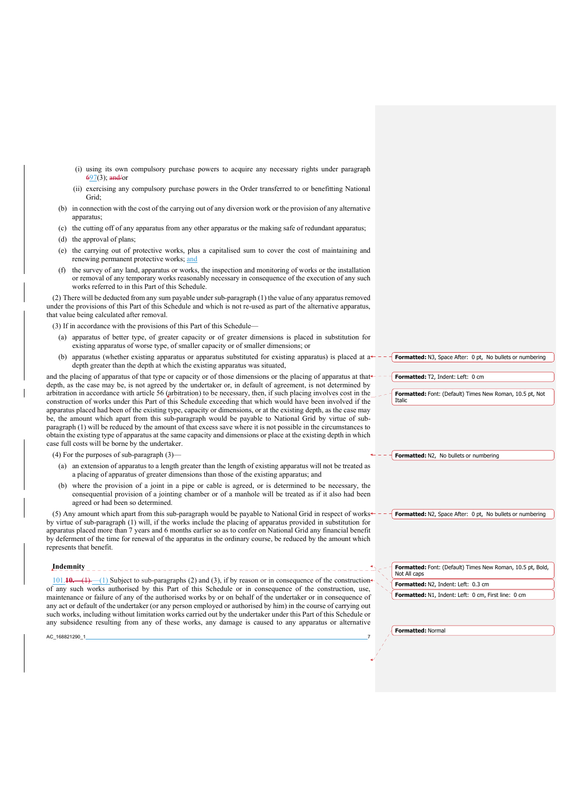- (i) using its own compulsory purchase powers to acquire any necessary rights under paragraph 697(3); and/or
- (ii) exercising any compulsory purchase powers in the Order transferred to or benefitting National Grid;
- (b) in connection with the cost of the carrying out of any diversion work or the provision of any alternative apparatus;
- (c) the cutting off of any apparatus from any other apparatus or the making safe of redundant apparatus; (d) the approval of plans;
- 
- (e) the carrying out of protective works, plus a capitalised sum to cover the cost of maintaining and renewing permanent protective works; and
- (f) the survey of any land, apparatus or works, the inspection and monitoring of works or the installation or removal of any temporary works reasonably necessary in consequence of the execution of any such works referred to in this Part of this Schedule.

(2) There will be deducted from any sum payable under sub-paragraph (1) the value of any apparatus removed under the provisions of this Part of this Schedule and which is not re-used as part of the alternative apparatus, that value being calculated after removal.

(3) If in accordance with the provisions of this Part of this Schedule—

- (a) apparatus of better type, of greater capacity or of greater dimensions is placed in substitution for existing apparatus of worse type, of smaller capacity or of smaller dimensions; or
- (b) apparatus (whether existing apparatus or apparatus substituted for existing apparatus) is placed at a depth greater than the depth at which the existing apparatus was situated,

and the placing of apparatus of that type or capacity or of those dimensions or the placing of apparatus at thatdepth, as the case may be, is not agreed by the undertaker or, in default of agreement, is not determined by arbitration in accordance with article 56 (arbitration) to be necessary, then, if such placing involves cost in the construction of works under this Part of this Schedule exceeding that which would have been involved if the apparatus placed had been of the existing type, capacity or dimensions, or at the existing depth, as the case may be, the amount which apart from this sub-paragraph would be payable to National Grid by virtue of subparagraph (1) will be reduced by the amount of that excess save where it is not possible in the circumstances to obtain the existing type of apparatus at the same capacity and dimensions or place at the existing depth in which case full costs will be borne by the undertaker.

(4) For the purposes of sub-paragraph (3)—

- (a) an extension of apparatus to a length greater than the length of existing apparatus will not be treated as a placing of apparatus of greater dimensions than those of the existing apparatus; and
- (b) where the provision of a joint in a pipe or cable is agreed, or is determined to be necessary, the consequential provision of a jointing chamber or of a manhole will be treated as if it also had been agreed or had been so determined.

(5) Any amount which apart from this sub-paragraph would be payable to National Grid in respect of works by virtue of sub-paragraph (1) will, if the works include the placing of apparatus provided in substitution for apparatus placed more than 7 years and 6 months earlier so as to confer on National Grid any financial benefit by deferment of the time for renewal of the apparatus in the ordinary course, be reduced by the amount which represents that benefit.

> **Formatted:** Font: (Default) Times New Roman, 10.5 pt, Bold, Not All caps

> **Formatted:** N2, Space After: 0 pt, No bullets or numbering

**Formatted:** N2, Indent: Left: 0.3 cm

**Formatted:** N1, Indent: Left: 0 cm, First line: 0 cm

101.**10.**—(1) —(1) Subject to sub-paragraphs (2) and (3), if by reason or in consequence of the construction of any such works authorised by this Part of this Schedule or in consequence of the construction, use, maintenance or failure of any of the authorised works by or on behalf of the undertaker or in consequence of any act or default of the undertaker (or any person employed or authorised by him) in the course of carrying out such works, including without limitation works carried out by the undertaker under this Part of this Schedule or any subsidence resulting from any of these works, any damage is caused to any apparatus or alternative

AC\_168821290\_1

**Indemnity**

**Formatted:** Normal

**Formatted:** N3, Space After: 0 pt. No bullets or numbering

**Formatted:** T2, Indent: Left: 0 cm

**Formatted:** Font: (Default) Times New Roman, 10.5 pt, Not Italic

**Formatted:** N2, No bullets or numbering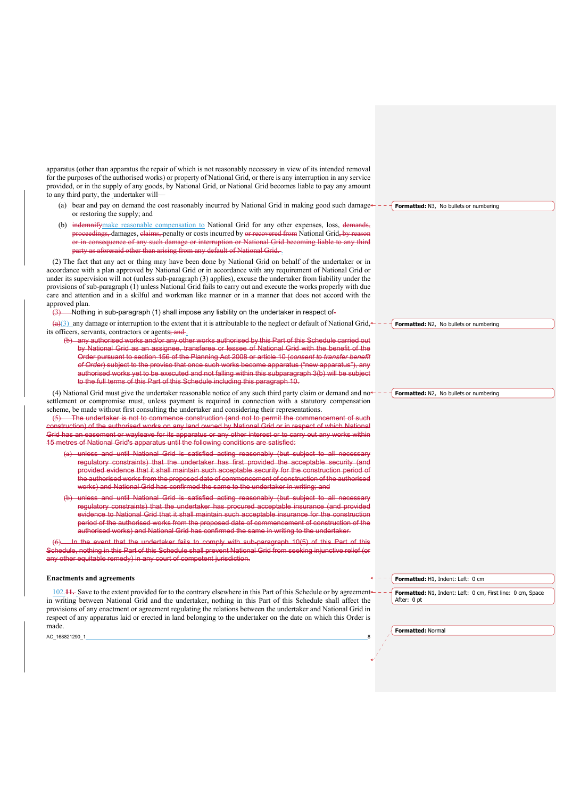apparatus (other than apparatus the repair of which is not reasonably necessary in view of its intended removal for the purposes of the authorised works) or property of National Grid, or there is any interruption in any service provided, or in the supply of any goods, by National Grid, or National Grid becomes liable to pay any amount to any third party, the undertaker will—

- (a) bear and pay on demand the cost reasonably incurred by National Grid in making good such damage or restoring the supply; and **Formatted:** N3, No bullets or numbering
- (b) indemnifymake reasonable compensation to National Grid for any other expenses, loss, demands, proceedings, damages, claims, penalty or costs incurred by or recovered from National Grid, by reason or in consequence of any such damage or interruption or National Grid becoming liable to any third aid other than arising from any default of National Grid. .

(2) The fact that any act or thing may have been done by National Grid on behalf of the undertaker or in accordance with a plan approved by National Grid or in accordance with any requirement of National Grid or under its supervision will not (unless sub-paragraph (3) applies), excuse the undertaker from liability under the provisions of sub-paragraph (1) unless National Grid fails to carry out and execute the works properly with due care and attention and in a skilful and workman like manner or in a manner that does not accord with the approved plan.

(3) Nothing in sub-paragraph (1) shall impose any liability on the undertaker in respect of-

 $\left(\frac{a}{3}\right)$  any damage or interruption to the extent that it is attributable to the neglect or default of National Grid,  $\leftarrow -$  **Formatted:** N2, No bullets or numbering its officers, servants, contractors or agents; and.

(b) any authorised works and/or any other works authorised by this Part of this Schedule carried out by National Grid as an assignee, transferee or lessee of National Grid with the benefit of the Order pursuant to section 156 of the Planning Act 2008 or article 10 (*consent to transfer benefit of Order*) subject to the proviso that once such works become apparatus ("new apparatus"), any authorised works yet to be executed and not falling within this subparagraph 3(b) will be subject to the full terms of this Part of this Schedule including this paragraph 10.

(4) National Grid must give the undertaker reasonable notice of any such third party claim or demand and no $\leftarrow$ settlement or compromise must, unless payment is required in connection with a statutory compensation scheme, be made without first consulting the undertaker and considering their representations.

(5) The undertaker is not to commence construction (and not to permit the commencement of such construction) of the authorised works on any land owned by National Grid or in respect of which National Grid has an easement or wayleave for its apparatus or any other interest or to carry out any works within 15 metres of National Grid's apparatus until the following conditions are satisfied:

- (a) unless and until National Grid is satisfied acting reasonably (but subject to all necessary regulatory constraints) that the undertaker has first provided the acceptable security (and provided evidence that it shall maintain such acceptable security for the construction period of the authorised works from the proposed date of commencement of construction of the authorised works) and National Grid has confirmed the same to the undertaker in writing; and
- unless and until National Grid is satisfied acting reasonably (but subject to all necessary regulatory constraints) that the undertaker has procured acceptable insurance (and provided evidence to National Grid that it shall maintain such acceptable insurance for the construction period of the authorised works from the proposed date of commencement of construction of the authorised works) and National Grid has confirmed the same in writing to the undertaker.

In the event that the undertaker fails to comply with sub-paragraph 10(5) of this Part of this Schedule, nothing in this Part of this Schedule shall prevent National Grid from seeking injunctive relief (or any other equitable remedy) in any court of competent jurisdiction.

#### **Enactments and agreements**

102.**11.** Save to the extent provided for to the contrary elsewhere in this Part of this Schedule or by agreement in writing between National Grid and the undertaker, nothing in this Part of this Schedule shall affect the provisions of any enactment or agreement regulating the relations between the undertaker and National Grid in respect of any apparatus laid or erected in land belonging to the undertaker on the date on which this Order is made.

AC\_168821290\_1

**Formatted:** H1, Indent: Left: 0 cm

**Formatted:** N1, Indent: Left: 0 cm, First line: 0 cm, Space After: 0 pt

**Formatted:** Normal

**Formatted:** N2, No bullets or numbering